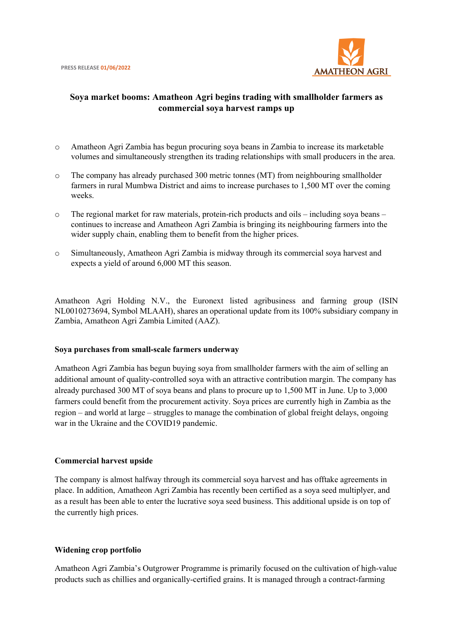

# **Soya market booms: Amatheon Agri begins trading with smallholder farmers as commercial soya harvest ramps up**

- o Amatheon Agri Zambia has begun procuring soya beans in Zambia to increase its marketable volumes and simultaneously strengthen its trading relationships with small producers in the area.
- o The company has already purchased 300 metric tonnes (MT) from neighbouring smallholder farmers in rural Mumbwa District and aims to increase purchases to 1,500 MT over the coming weeks.
- o The regional market for raw materials, protein-rich products and oils including soya beans continues to increase and Amatheon Agri Zambia is bringing its neighbouring farmers into the wider supply chain, enabling them to benefit from the higher prices.
- o Simultaneously, Amatheon Agri Zambia is midway through its commercial soya harvest and expects a yield of around 6,000 MT this season.

Amatheon Agri Holding N.V., the Euronext listed agribusiness and farming group (ISIN NL0010273694, Symbol MLAAH), shares an operational update from its 100% subsidiary company in Zambia, Amatheon Agri Zambia Limited (AAZ).

### **Soya purchases from small-scale farmers underway**

Amatheon Agri Zambia has begun buying soya from smallholder farmers with the aim of selling an additional amount of quality-controlled soya with an attractive contribution margin. The company has already purchased 300 MT of soya beans and plans to procure up to 1,500 MT in June. Up to 3,000 farmers could benefit from the procurement activity. Soya prices are currently high in Zambia as the region – and world at large – struggles to manage the combination of global freight delays, ongoing war in the Ukraine and the COVID19 pandemic.

### **Commercial harvest upside**

The company is almost halfway through its commercial soya harvest and has offtake agreements in place. In addition, Amatheon Agri Zambia has recently been certified as a soya seed multiplyer, and as a result has been able to enter the lucrative soya seed business. This additional upside is on top of the currently high prices.

### **Widening crop portfolio**

Amatheon Agri Zambia's Outgrower Programme is primarily focused on the cultivation of high-value products such as chillies and organically-certified grains. It is managed through a contract-farming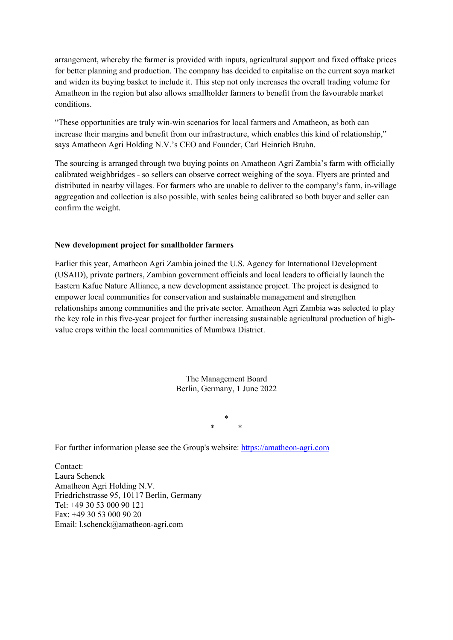arrangement, whereby the farmer is provided with inputs, agricultural support and fixed offtake prices for better planning and production. The company has decided to capitalise on the current soya market and widen its buying basket to include it. This step not only increases the overall trading volume for Amatheon in the region but also allows smallholder farmers to benefit from the favourable market conditions.

"These opportunities are truly win-win scenarios for local farmers and Amatheon, as both can increase their margins and benefit from our infrastructure, which enables this kind of relationship," says Amatheon Agri Holding N.V.'s CEO and Founder, Carl Heinrich Bruhn.

The sourcing is arranged through two buying points on Amatheon Agri Zambia's farm with officially calibrated weighbridges - so sellers can observe correct weighing of the soya. Flyers are printed and distributed in nearby villages. For farmers who are unable to deliver to the company's farm, in-village aggregation and collection is also possible, with scales being calibrated so both buyer and seller can confirm the weight.

## **New development project for smallholder farmers**

Earlier this year, Amatheon Agri Zambia joined the U.S. Agency for International Development (USAID), private partners, Zambian government officials and local leaders to officially launch the Eastern Kafue Nature Alliance, a new development assistance project. The project is designed to empower local communities for conservation and sustainable management and strengthen relationships among communities and the private sector. Amatheon Agri Zambia was selected to play the key role in this five-year project for further increasing sustainable agricultural production of highvalue crops within the local communities of Mumbwa District.

> The Management Board Berlin, Germany, 1 June 2022

> > \* \* \*

For further information please see the Group's website: [https://amatheon-agri.com](https://amatheon-agri.com/) 

Contact: Laura Schenck Amatheon Agri Holding N.V. Friedrichstrasse 95, 10117 Berlin, Germany Tel: +49 30 53 000 90 121 Fax: +49 30 53 000 90 20 Email: l.schenck@amatheon-agri.com